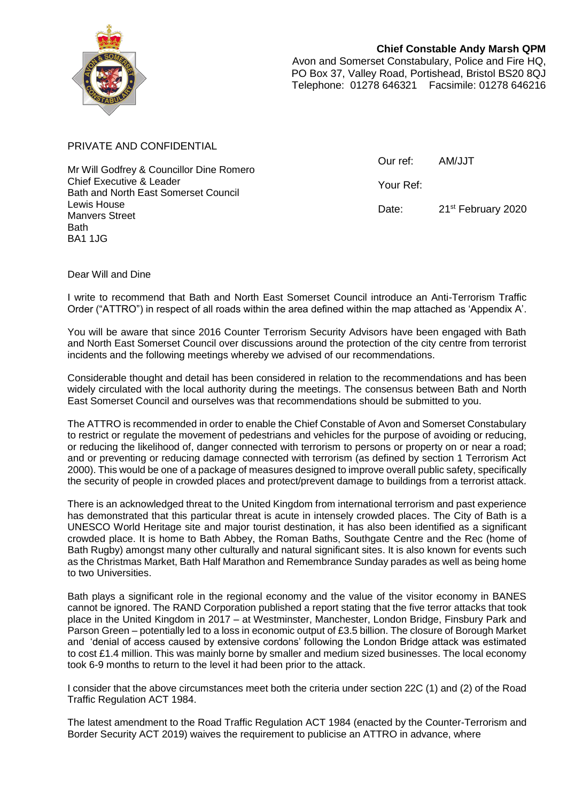

**Chief Constable Andy Marsh QPM** Avon and Somerset Constabulary, Police and Fire HQ, PO Box 37, Valley Road, Portishead, Bristol BS20 8QJ Telephone: 01278 646321 Facsimile: 01278 646216

PRIVATE AND CONFIDENTIAL

Mr Will Godfrey & Councillor Dine Romero Chief Executive & Leader Bath and North East Somerset Council Lewis House Manvers Street Bath BA1 1JG

Our ref: AM/JJT Your Ref:

Date: 21<sup>st</sup> February 2020

Dear Will and Dine

I write to recommend that Bath and North East Somerset Council introduce an Anti-Terrorism Traffic Order ("ATTRO") in respect of all roads within the area defined within the map attached as 'Appendix A'.

You will be aware that since 2016 Counter Terrorism Security Advisors have been engaged with Bath and North East Somerset Council over discussions around the protection of the city centre from terrorist incidents and the following meetings whereby we advised of our recommendations.

Considerable thought and detail has been considered in relation to the recommendations and has been widely circulated with the local authority during the meetings. The consensus between Bath and North East Somerset Council and ourselves was that recommendations should be submitted to you.

The ATTRO is recommended in order to enable the Chief Constable of Avon and Somerset Constabulary to restrict or regulate the movement of pedestrians and vehicles for the purpose of avoiding or reducing, or reducing the likelihood of, danger connected with terrorism to persons or property on or near a road; and or preventing or reducing damage connected with terrorism (as defined by section 1 Terrorism Act 2000). This would be one of a package of measures designed to improve overall public safety, specifically the security of people in crowded places and protect/prevent damage to buildings from a terrorist attack.

There is an acknowledged threat to the United Kingdom from international terrorism and past experience has demonstrated that this particular threat is acute in intensely crowded places. The City of Bath is a UNESCO World Heritage site and major tourist destination, it has also been identified as a significant crowded place. It is home to Bath Abbey, the Roman Baths, Southgate Centre and the Rec (home of Bath Rugby) amongst many other culturally and natural significant sites. It is also known for events such as the Christmas Market, Bath Half Marathon and Remembrance Sunday parades as well as being home to two Universities.

Bath plays a significant role in the regional economy and the value of the visitor economy in BANES cannot be ignored. The RAND Corporation published a report stating that the five terror attacks that took place in the United Kingdom in 2017 – at Westminster, Manchester, London Bridge, Finsbury Park and Parson Green – potentially led to a loss in economic output of £3.5 billion. The closure of Borough Market and 'denial of access caused by extensive cordons' following the London Bridge attack was estimated to cost £1.4 million. This was mainly borne by smaller and medium sized businesses. The local economy took 6-9 months to return to the level it had been prior to the attack.

I consider that the above circumstances meet both the criteria under section 22C (1) and (2) of the Road Traffic Regulation ACT 1984.

The latest amendment to the Road Traffic Regulation ACT 1984 (enacted by the Counter-Terrorism and Border Security ACT 2019) waives the requirement to publicise an ATTRO in advance, where